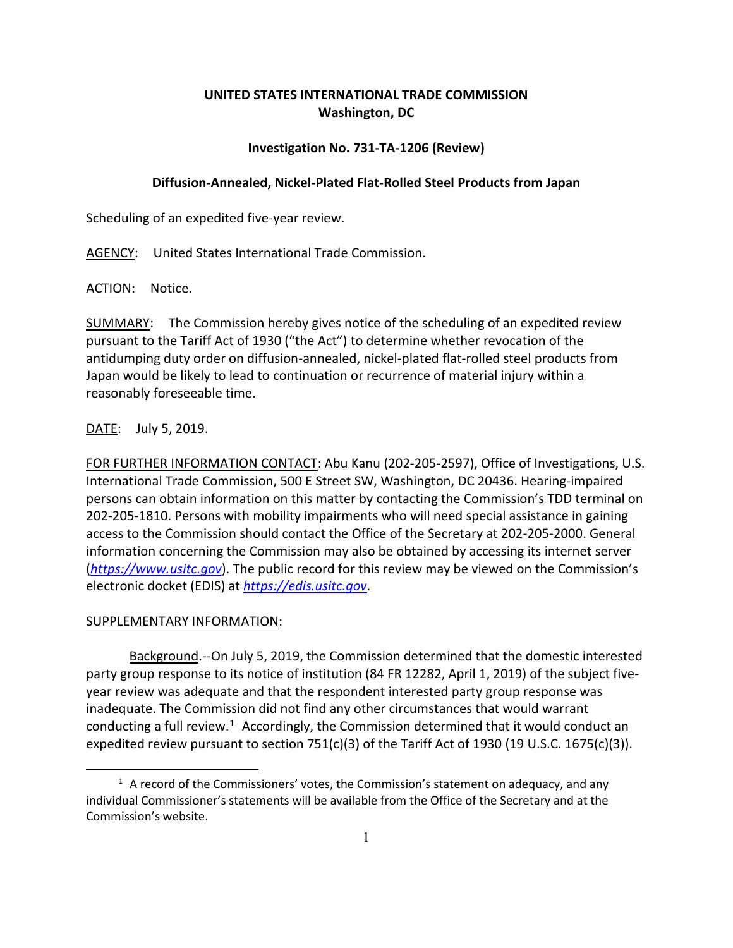# **UNITED STATES INTERNATIONAL TRADE COMMISSION Washington, DC**

# **Investigation No. 731-TA-1206 (Review)**

### **Diffusion-Annealed, Nickel-Plated Flat-Rolled Steel Products from Japan**

Scheduling of an expedited five-year review.

AGENCY: United States International Trade Commission.

ACTION: Notice.

SUMMARY: The Commission hereby gives notice of the scheduling of an expedited review pursuant to the Tariff Act of 1930 ("the Act") to determine whether revocation of the antidumping duty order on diffusion-annealed, nickel-plated flat-rolled steel products from Japan would be likely to lead to continuation or recurrence of material injury within a reasonably foreseeable time.

# DATE: July 5, 2019.

FOR FURTHER INFORMATION CONTACT: Abu Kanu (202-205-2597), Office of Investigations, U.S. International Trade Commission, 500 E Street SW, Washington, DC 20436. Hearing-impaired persons can obtain information on this matter by contacting the Commission's TDD terminal on 202-205-1810. Persons with mobility impairments who will need special assistance in gaining access to the Commission should contact the Office of the Secretary at 202-205-2000. General information concerning the Commission may also be obtained by accessing its internet server (*[https://www.usitc.gov](https://www.usitc.gov/)*). The public record for this review may be viewed on the Commission's electronic docket (EDIS) at *[https://edis.usitc.gov](https://edis.usitc.gov/)*.

# SUPPLEMENTARY INFORMATION:

 $\overline{a}$ 

Background.--On July 5, 2019, the Commission determined that the domestic interested party group response to its notice of institution (84 FR 12282, April 1, 2019) of the subject fiveyear review was adequate and that the respondent interested party group response was inadequate. The Commission did not find any other circumstances that would warrant conducting a full review.<sup>[1](#page-0-0)</sup> Accordingly, the Commission determined that it would conduct an expedited review pursuant to section 751(c)(3) of the Tariff Act of 1930 (19 U.S.C. 1675(c)(3)).

<span id="page-0-0"></span> $1$  A record of the Commissioners' votes, the Commission's statement on adequacy, and any individual Commissioner's statements will be available from the Office of the Secretary and at the Commission's website.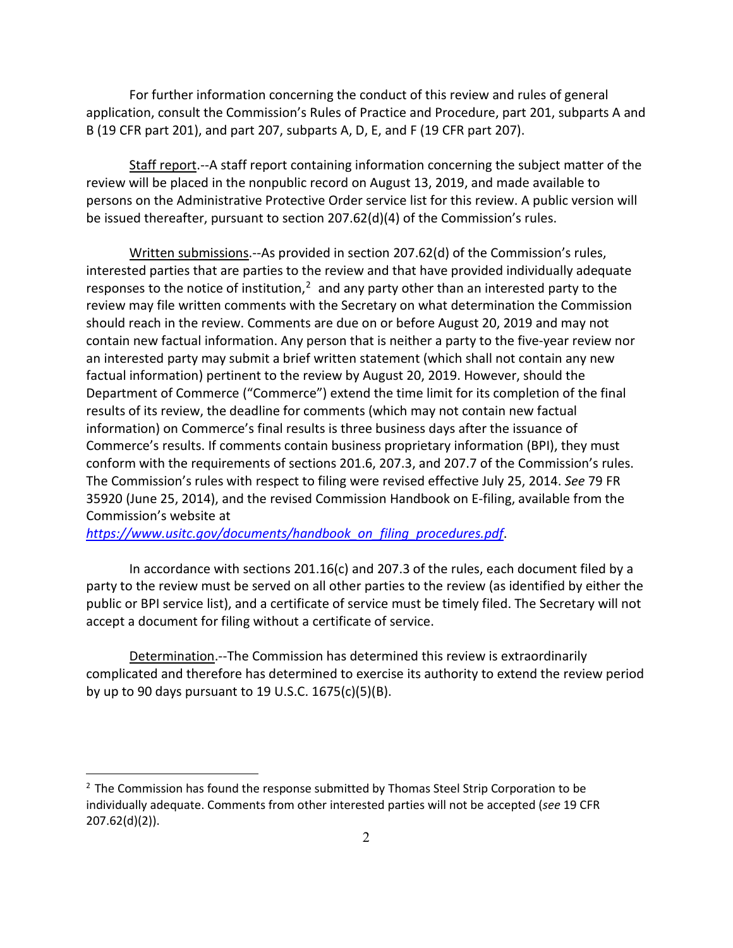For further information concerning the conduct of this review and rules of general application, consult the Commission's Rules of Practice and Procedure, part 201, subparts A and B (19 CFR part 201), and part 207, subparts A, D, E, and F (19 CFR part 207).

Staff report.--A staff report containing information concerning the subject matter of the review will be placed in the nonpublic record on August 13, 2019, and made available to persons on the Administrative Protective Order service list for this review. A public version will be issued thereafter, pursuant to section 207.62(d)(4) of the Commission's rules.

Written submissions.--As provided in section 207.62(d) of the Commission's rules, interested parties that are parties to the review and that have provided individually adequate responses to the notice of institution, $<sup>2</sup>$  $<sup>2</sup>$  $<sup>2</sup>$  and any party other than an interested party to the</sup> review may file written comments with the Secretary on what determination the Commission should reach in the review. Comments are due on or before August 20, 2019 and may not contain new factual information. Any person that is neither a party to the five-year review nor an interested party may submit a brief written statement (which shall not contain any new factual information) pertinent to the review by August 20, 2019. However, should the Department of Commerce ("Commerce") extend the time limit for its completion of the final results of its review, the deadline for comments (which may not contain new factual information) on Commerce's final results is three business days after the issuance of Commerce's results. If comments contain business proprietary information (BPI), they must conform with the requirements of sections 201.6, 207.3, and 207.7 of the Commission's rules. The Commission's rules with respect to filing were revised effective July 25, 2014. *See* 79 FR 35920 (June 25, 2014), and the revised Commission Handbook on E-filing, available from the Commission's website at

*[https://www.usitc.gov/documents/handbook\\_on\\_filing\\_procedures.pdf](https://www.usitc.gov/documents/handbook_on_filing_procedures.pdf)*.

 $\overline{a}$ 

In accordance with sections 201.16(c) and 207.3 of the rules, each document filed by a party to the review must be served on all other parties to the review (as identified by either the public or BPI service list), and a certificate of service must be timely filed. The Secretary will not accept a document for filing without a certificate of service.

Determination.--The Commission has determined this review is extraordinarily complicated and therefore has determined to exercise its authority to extend the review period by up to 90 days pursuant to 19 U.S.C. 1675(c)(5)(B).

<span id="page-1-0"></span> $2$  The Commission has found the response submitted by Thomas Steel Strip Corporation to be individually adequate. Comments from other interested parties will not be accepted (*see* 19 CFR 207.62(d)(2)).